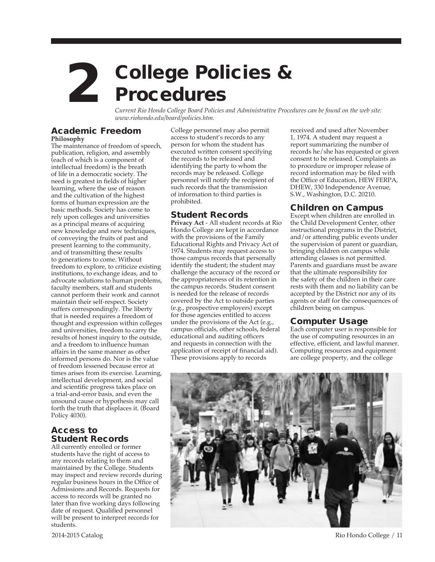# 2 College Policies & Procedures

*Current Rio Hondo College Board Policies and Administrative Procedures can be found on the web site: www.riohondo.edu/board/policies.htm.*

#### Academic Freedom **Philosophy**

The maintenance of freedom of speech, publication, religion, and assembly (each of which is a component of intellectual freedom) is the breath of life in a democratic society. The need is greatest in fields of higher learning, where the use of reason and the cultivation of the highest forms of human expression are the basic methods. Society has come to rely upon colleges and universities as a principal means of acquiring new knowledge and new techniques, of conveying the fruits of past and present learning to the community, and of transmitting these results to generations to come. Without freedom to explore, to criticize existing institutions, to exchange ideas, and to advocate solutions to human problems, faculty members, staff and students cannot perform their work and cannot maintain their self-respect. Society suffers correspondingly. The liberty that is needed requires a freedom of thought and expression within colleges and universities, freedom to carry the results of honest inquiry to the outside, and a freedom to influence human affairs in the same manner as other informed persons do. Nor is the value of freedom lessened because error at times arises from its exercise. Learning, intellectual development, and social and scientific progress takes place on a trial-and-error basis, and even the unsound cause or hypothesis may call forth the truth that displaces it. (Board Policy 4030).

# Access to Student Records

All currently enrolled or former students have the right of access to any records relating to them and maintained by the College. Students may inspect and review records during regular business hours in the Office of Admissions and Records. Requests for access to records will be granted no later than five working days following date of request. Qualified personnel will be present to interpret records for students.

College personnel may also permit access to student's records to any person for whom the student has executed written consent specifying the records to be released and identifying the party to whom the records may be released. College personnel will notify the recipient of such records that the transmission of information to third parties is prohibited.

# Student Records

**Privacy Act** - All student records at Rio Hondo College are kept in accordance with the provisions of the Family Educational Rights and Privacy Act of 1974. Students may request access to those campus records that personally identify the student; the student may challenge the accuracy of the record or the appropriateness of its retention in the campus records. Student consent is needed for the release of records covered by the Act to outside parties (e.g., prospective employers) except for those agencies entitled to access under the provisions of the Act (e.g., campus officials, other schools, federal educational and auditing officers and requests in connection with the application of receipt of financial aid). These provisions apply to records

received and used after November 1, 1974. A student may request a report summarizing the number of records he/she has requested or given consent to be released. Complaints as to procedure or improper release of record information may be filed with the Office of Education, HEW FERPA, DHEW, 330 Independence Avenue, S.W., Washington, D.C. 20210.

# Children on Campus

Except when children are enrolled in the Child Development Center, other instructional programs in the District, and/or attending public events under the supervision of parent or guardian, bringing children on campus while attending classes is not permitted. Parents and guardians must be aware that the ultimate responsibility for the safety of the children in their care rests with them and no liability can be accepted by the District nor any of its agents or staff for the consequences of children being on campus.

# Computer Usage

Each computer user is responsible for the use of computing resources in an effective, efficient, and lawful manner. Computing resources and equipment are college property, and the college

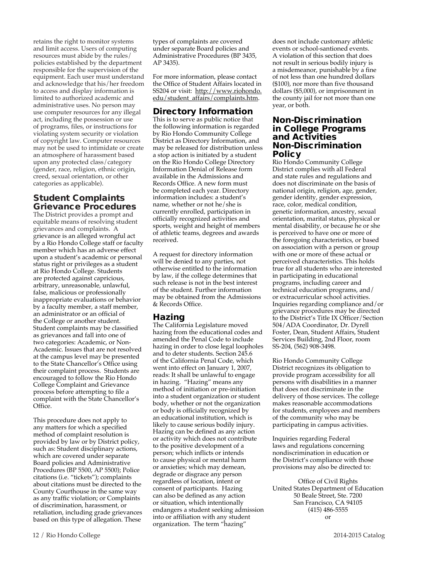retains the right to monitor systems and limit access. Users of computing resources must abide by the rules/ policies established by the department responsible for the supervision of the equipment. Each user must understand and acknowledge that his/her freedom to access and display information is limited to authorized academic and administrative uses. No person may use computer resources for any illegal act, including the possession or use of programs, files, or instructions for violating system security or violation of copyright law. Computer resources may not be used to intimidate or create an atmosphere of harassment based upon any protected class/category (gender, race, religion, ethnic origin, creed, sexual orientation, or other categories as applicable).

## Student Complaints Grievance Procedures

The District provides a prompt and equitable means of resolving student grievances and complaints. A grievance is an alleged wrongful act by a Rio Hondo College staff or faculty member which has an adverse effect upon a student's academic or personal status right or privileges as a student at Rio Hondo College. Students are protected against capricious, arbitrary, unreasonable, unlawful, false, malicious or professionally inappropriate evaluations or behavior by a faculty member, a staff member, an administrator or an official of the College or another student. Student complaints may be classified as grievances and fall into one of two categories: Academic, or Non-Academic. Issues that are not resolved at the campus level may be presented to the State Chancellor's Office using their complaint process. Students are encouraged to follow the Rio Hondo College Complaint and Grievance process before attempting to file a complaint with the State Chancellor's Office.

This procedure does not apply to any matters for which a specified method of complaint resolution is provided by law or by District policy, such as: Student disciplinary actions, which are covered under separate Board policies and Administrative Procedures (BP 5500, AP 5500); Police citations (i.e. "tickets"); complaints about citations must be directed to the County Courthouse in the same way as any traffic violation; or Complaints of discrimination, harassment, or retaliation, including grade grievances based on this type of allegation. These

types of complaints are covered under separate Board policies and Administrative Procedures (BP 3435, AP 3435).

For more information, please contact the Office of Student Affairs located in SS204 or visit: http://www.riohondo. edu/student\_affairs/complaints.htm.

# Directory Information

This is to serve as public notice that the following information is regarded by Rio Hondo Community College District as Directory Information, and may be released for distribution unless a stop action is initiated by a student on the Rio Hondo College Directory Information Denial of Release form available in the Admissions and Records Office. A new form must be completed each year. Directory information includes: a student's name, whether or not he/she is currently enrolled, participation in officially recognized activities and sports, weight and height of members of athletic teams, degrees and awards received.

A request for directory information will be denied to any parties, not otherwise entitled to the information by law, if the college determines that such release is not in the best interest of the student. Further information may be obtained from the Admissions & Records Office.

# Hazing

The California Legislature moved hazing from the educational codes and amended the Penal Code to include hazing in order to close legal loopholes and to deter students. Section 245.6 of the California Penal Code, which went into effect on January 1, 2007, reads: It shall be unlawful to engage in hazing. "Hazing" means any method of initiation or pre-initiation into a student organization or student body, whether or not the organization or body is officially recognized by an educational institution, which is likely to cause serious bodily injury. Hazing can be defined as any action or activity which does not contribute to the positive development of a person; which inflicts or intends to cause physical or mental harm or anxieties; which may demean, degrade or disgrace any person regardless of location, intent or consent of participants. Hazing can also be defined as any action or situation, which intentionally endangers a student seeking admission into or affiliation with any student organization. The term "hazing"

does not include customary athletic events or school-santioned events. A violation of this section that does not result in serious bodily injury is a misdemeanor, punishable by a fine of not less than one hundred dollars (\$100), nor more than five thousand dollars (\$5,000), or imprisonment in the county jail for not more than one year, or both.

#### Non-Discrimination in College Programs and Activities Non-Discrimination Policy

Rio Hondo Community College District complies with all Federal and state rules and regulations and does not discriminate on the basis of national origin, religion, age, gender, gender identity, gender expression, race, color, medical condition, genetic information, ancestry, sexual orientation, marital status, physical or mental disability, or because he or she is perceived to have one or more of the foregoing characteristics, or based on association with a person or group with one or more of these actual or perceived characteristics. This holds true for all students who are interested in participating in educational programs, including career and technical education programs, and/ or extracurricular school activities. Inquiries regarding compliance and/or grievance procedures may be directed to the District's Title IX Officer/Section 504/ADA Coordinator, Dr. Dyrell Foster, Dean, Student Affairs, Student Services Building, 2nd Floor, room SS-204, (562) 908-3498.

Rio Hondo Community College District recognizes its obligation to provide program accessibility for all persons with disabilities in a manner that does not discriminate in the delivery of those services. The college makes reasonable accommodations for students, employees and members of the community who may be participating in campus activities.

Inquiries regarding Federal laws and regulations concerning nondiscrimination in education or the District's compliance with those provisions may also be directed to:

Office of Civil Rights United States Department of Education 50 Beale Street, Ste. 7200 San Francisco, CA 94105 (415) 486-5555 or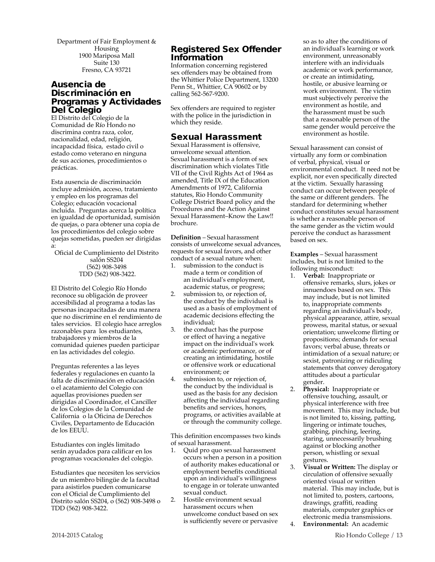Department of Fair Employment & Housing 1900 Mariposa Mall Suite 130 Fresno, CA 93721

### Ausencia de Discriminación en Programas y Actividades Del Colegio

El Distrito del Colegio de la Comunidad de Río Hondo no discrimina contra raza, color, nacionalidad, edad, religión, incapacidad física, estado civil o estado como veterano en ninguna de sus acciones, procedimientos o prácticas.

Esta ausencia de discriminación incluye admisión, acceso, tratamiento y empleo en los programas del Colegio; educación vocacional incluida. Preguntas acerca la política en igualdad de oportunidad, sumisión de quejas, o para obtener una copia de los procedimientos del colegio sobre quejas sometidas, pueden ser dirigidas a:

Oficial de Cumplimiento del Distrito salón SS204 (562) 908-3498 TDD (562) 908-3422.

El Distrito del Colegio Río Hondo reconoce su obligación de proveer accesibilidad al programa a todas las personas incapacitadas de una manera que no discrimine en el rendimiento de tales servicios. El colegio hace arreglos razonables para los estudiantes, trabajadores y miembros de la comunidad quienes pueden participar en las actividades del colegio.

Preguntas referentes a las leyes federales y regulaciones en cuanto la falta de discriminación en educación o el acatamiento del Colegio con aquellas provisiones pueden ser dirigidas al Coordinador, el Canciller de los Colegios de la Comunidad de California o la Oficina de Derechos Civiles, Departamento de Educación de los EEUU.

Estudiantes con inglés limitado serán ayudados para calificar en los programas vocacionales del colegio.

Estudiantes que necesiten los servicios de un miembro bilingüe de la facultad para asistirlos pueden comunicarse con el Oficial de Cumplimiento del Distrito salón SS204, o (562) 908-3498 o TDD (562) 908-3422.

# Registered Sex Offender Information

Information concerning registered sex offenders may be obtained from the Whittier Police Department, 13200 Penn St., Whittier, CA 90602 or by calling 562-567-9200.

Sex offenders are required to register with the police in the jurisdiction in which they reside.

# Sexual Harassment

Sexual Harassment is offensive, unwelcome sexual attention. Sexual harassment is a form of sex discrimination which violates Title VII of the Civil Rights Act of 1964 as amended, Title IX of the Education Amendments of 1972, California statutes, Rio Hondo Community College District Board policy and the Procedures and the Action Against Sexual Harassment–Know the Law!! brochure.

**Definition** – Sexual harassment consists of unwelcome sexual advances, requests for sexual favors, and other conduct of a sexual nature when:

- 1. submission to the conduct is made a term or condition of an individual's employment, academic status, or progress;
- 2. submission to, or rejection of, the conduct by the individual is used as a basis of employment of academic decisions effecting the individual;
- 3. the conduct has the purpose or effect of having a negative impact on the individual's work or academic performance, or of creating an intimidating, hostile or offensive work or educational environment; or
- 4. submission to, or rejection of, the conduct by the individual is used as the basis for any decision affecting the individual regarding benefits and services, honors, programs, or activities available at or through the community college.

This definition encompasses two kinds of sexual harassment.

- 1. Quid pro quo sexual harassment occurs when a person in a position of authority makes educational or employment benefits conditional upon an individual's willingness to engage in or tolerate unwanted sexual conduct.
- 2. Hostile environment sexual harassment occurs when unwelcome conduct based on sex is sufficiently severe or pervasive

so as to alter the conditions of an individual's learning or work environment, unreasonably interfere with an individuals academic or work performance, or create an intimidating, hostile, or abusive learning or work environment. The victim must subjectively perceive the environment as hostile, and the harassment must be such that a reasonable person of the same gender would perceive the environment as hostile.

Sexual harassment can consist of virtually any form or combination of verbal, physical, visual or environmental conduct. It need not be explicit, nor even specifically directed at the victim. Sexually harassing conduct can occur between people of the same or different genders. The standard for determining whether conduct constitutes sexual harassment is whether a reasonable person of the same gender as the victim would perceive the conduct as harassment based on sex.

**Examples** – Sexual harassment includes, but is not limited to the following misconduct:

- 1. **Verbal:** Inappropriate or offensive remarks, slurs, jokes or innuendoes based on sex. This may include, but is not limited to, inappropriate comments regarding an individual's body, physical appearance, attire, sexual prowess, marital status, or sexual orientation; unwelcome flirting or propositions; demands for sexual favors; verbal abuse, threats or intimidation of a sexual nature; or sexist, patronizing or ridiculing statements that convey derogatory attitudes about a particular gender.
- 2. **Physical:** Inappropriate or offensive touching, assault, or physical interference with free movement. This may include, but is not limited to, kissing, patting, lingering or intimate touches, grabbing, pinching, leering, staring, unnecessarily brushing against or blocking another person, whistling or sexual gestures.
- 3. **Visual or Written:** The display or circulation of offensive sexually oriented visual or written material. This may include, but is not limited to, posters, cartoons, drawings, graffiti, reading materials, computer graphics or electronic media transmissions.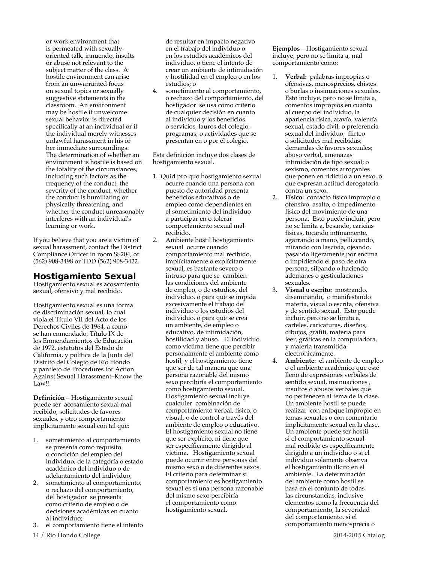or work environment that is permeated with sexuallyoriented talk, innuendo, insults or abuse not relevant to the subject matter of the class. A hostile environment can arise from an unwarranted focus on sexual topics or sexually suggestive statements in the classroom. An environment may be hostile if unwelcome sexual behavior is directed specifically at an individual or if the individual merely witnesses unlawful harassment in his or her immediate surroundings. The determination of whether an environment is hostile is based on the totality of the circumstances, including such factors as the frequency of the conduct, the severity of the conduct, whether the conduct is humiliating or physically threatening, and whether the conduct unreasonably interferes with an individual's learning or work.

If you believe that you are a victim of sexual harassment, contact the District Compliance Officer in room SS204, or (562) 908-3498 or TDD (562) 908-3422.

# Hostigamiento Sexual

Hostigamiento sexual es acosamiento sexual, ofensivo y mal recibido.

Hostigamiento sexual es una forma de discriminación sexual, lo cual viola el Título VII del Acto de los Derechos Civiles de 1964, a como se han enmendado, Título IX de los Enmendamientos de Educación de 1972, estatutos del Estado de California, y política de la Junta del Distrito del Colegio de Río Hondo y panfleto de Procedures for Action Against Sexual Harassment–Know the Law!!.

**Definición** – Hostigamiento sexual puede ser acosamiento sexual mal recibido, solicitudes de favores sexuales, y otro comportamiento implícitamente sexual con tal que:

- 1. sometimiento al comportamiento se presenta como requisito o condición del empleo del individuo, de la categoría o estado académico del individuo o de adelantamiento del individuo;
- 2. sometimiento al comportamiento, o rechazo del comportamiento, del hostigador se presenta como criterio de empleo o de decisiones académicas en cuanto al individuo;
- 3. el comportamiento tiene el intento

de resultar en impacto negativo en el trabajo del individuo o en los estudios académicos del individuo, o tiene el intento de crear un ambiente de intimidación y hostilidad en el empleo o en los estudios; o

4. sometimiento al comportamiento, o rechazo del comportamiento, del hostigador se usa como criterio de cualquier decisión en cuanto al individuo y los beneficios o servicios, lauros del colegio, programas, o actividades que se presentan en o por el colegio.

Esta definición incluye dos clases de hostigamiento sexual.

- 1. Quid pro quo hostigamiento sexual ocurre cuando una persona con puesto de autoridad presenta beneficios educativos o de empleo como dependientes en el sometimiento del individuo a participar en o tolerar comportamiento sexual mal recibido.
- 2. Ambiente hostil hostigamiento sexual ocurre cuando comportamiento mal recibido, implícitamente o explícitamente sexual, es bastante severo o intruso para que se cambien las condiciones del ambiente de empleo, o de estudios, del individuo, o para que se impida excesivamente el trabajo del individuo o los estudios del individuo, o para que se crea un ambiente, de empleo o educativo, de intimidación, hostilidad y abuso. El individuo como víctima tiene que percibir personalmente el ambiente como hostil, y el hostigamiento tiene que ser de tal manera que una persona razonable del mismo sexo percibiría el comportamiento como hostigamiento sexual. Hostigamiento sexual incluye cualquier combinación de comportamiento verbal, físico, o visual, o de control a través del ambiente de empleo o educativo. El hostigamiento sexual no tiene que ser explícito, ni tiene que ser específicamente dirigido al víctima. Hostigamiento sexual puede ocurrir entre personas del mismo sexo o de diferentes sexos. El criterio para determinar si comportamiento es hostigamiento sexual es si una persona razonable del mismo sexo percibiría el comportamiento como hostigamiento sexual.

**Ejemplos** – Hostigamiento sexual incluye, pero no se limita a, mal comportamiento como:

- 1. **Verbal:** palabras impropias o ofensivas, menosprecios, chistes o burlas o insinuaciones sexuales. Esto incluye, pero no se limita a, comentos impropios en cuanto al cuerpo del individuo, la apariencia física, atavío, valentía sexual, estado civil, o preferencia sexual del individuo; flirteo o solicitudes mal recibidas; demandas de favores sexuales; abuso verbal, amenazas intimidación de tipo sexual; o sexismo, comentos arrogantes que ponen en ridículo a un sexo, o que expresan actitud derogatoria contra un sexo.
- 2. **Físico:** contacto físico impropio o ofensivo, asalto, o impedimento físico del movimiento de una persona. Esto puede incluir, pero no se limita a, besando, caricias físicas, tocando intímamente, agarrando a mano, pellizcando, mirando con lascivia, ojeando, pasando ligeramente por encima o impidiendo el paso de otra persona, silbando o haciendo ademanes o gesticulaciones sexuales.
- 3. **Visual o escrito:** mostrando, diseminando, o manifestando materia, visual o escrita, ofensiva y de sentido sexual. Esto puede incluir, pero no se limita a, carteles, caricaturas, diseños, dibujos, grafiti, materia para leer, gráficas en la computadora, y materia transmitida electrónicamente.
- 4. **Ambiente:** el ambiente de empleo o el ambiente académico que esté lleno de expresiones verbales de sentido sexual, insinuaciones , insultos o abusos verbales que no pertenecen al tema de la clase. Un ambiente hostil se puede realizar con enfoque impropio en temas sexuales o con comentario implícitamente sexual en la clase. Un ambiente puede ser hostil si el comportamiento sexual mal recibido es específicamente dirigido a un individuo o si el individuo solamente observa el hostigamiento ilícito en el ambiente. La determinación del ambiente como hostil se basa en el conjunto de todas las circunstancias, inclusive elementos como la frecuencia del comportamiento, la severidad del comportamiento, si el comportamiento menosprecia o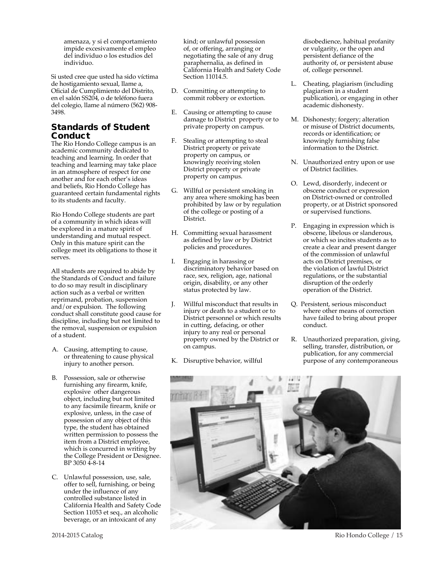amenaza, y si el comportamiento impide excesivamente el empleo del individuo o los estudios del individuo.

Si usted cree que usted ha sido víctima de hostigamiento sexual, llame a, Oficial de Cumplimiento del Distrito, en el salón SS204, o de teléfono fuera del colegio, llame al número (562) 908- 3498.

# Standards of Student Conduct

The Rio Hondo College campus is an academic community dedicated to teaching and learning. In order that teaching and learning may take place in an atmosphere of respect for one another and for each other's ideas and beliefs, Rio Hondo College has guaranteed certain fundamental rights to its students and faculty.

Rio Hondo College students are part of a community in which ideas will be explored in a mature spirit of understanding and mutual respect. Only in this mature spirit can the college meet its obligations to those it serves.

All students are required to abide by the Standards of Conduct and failure to do so may result in disciplinary action such as a verbal or written reprimand, probation, suspension and/or expulsion. The following conduct shall constitute good cause for discipline, including but not limited to the removal, suspension or expulsion of a student.

- A. Causing, attempting to cause, or threatening to cause physical injury to another person.
- B. Possession, sale or otherwise furnishing any firearm, knife, explosive other dangerous object, including but not limited to any facsimile firearm, knife or explosive, unless, in the case of possession of any object of this type, the student has obtained written permission to possess the item from a District employee, which is concurred in writing by the College President or Designee. BP 3050 4-8-14
- C. Unlawful possession, use, sale, offer to sell, furnishing, or being under the influence of any controlled substance listed in California Health and Safety Code Section 11053 et seq., an alcoholic beverage, or an intoxicant of any

kind; or unlawful possession of, or offering, arranging or negotiating the sale of any drug paraphernalia, as defined in California Health and Safety Code Section 11014.5.

- D. Committing or attempting to commit robbery or extortion.
- E. Causing or attempting to cause damage to District property or to private property on campus.
- F. Stealing or attempting to steal District property or private property on campus, or knowingly receiving stolen District property or private property on campus.
- G. Willful or persistent smoking in any area where smoking has been prohibited by law or by regulation of the college or posting of a District.
- H. Committing sexual harassment as defined by law or by District policies and procedures.
- I. Engaging in harassing or discriminatory behavior based on race, sex, religion, age, national origin, disability, or any other status protected by law.
- J. Willful misconduct that results in injury or death to a student or to District personnel or which results in cutting, defacing, or other injury to any real or personal property owned by the District or on campus.
- K. Disruptive behavior, willful

disobedience, habitual profanity or vulgarity, or the open and persistent defiance of the authority of, or persistent abuse of, college personnel.

- L. Cheating, plagiarism (including plagiarism in a student publication), or engaging in other academic dishonesty.
- M. Dishonesty; forgery; alteration or misuse of District documents, records or identification; or knowingly furnishing false information to the District.
- N. Unauthorized entry upon or use of District facilities.
- O. Lewd, disorderly, indecent or obscene conduct or expression on District-owned or controlled property, or at District sponsored or supervised functions.
- P. Engaging in expression which is obscene, libelous or slanderous, or which so incites students as to create a clear and present danger of the commission of unlawful acts on District premises, or the violation of lawful District regulations, or the substantial disruption of the orderly operation of the District.
- Q. Persistent, serious misconduct where other means of correction have failed to bring about proper conduct.
- R. Unauthorized preparation, giving, selling, transfer, distribution, or publication, for any commercial purpose of any contemporaneous